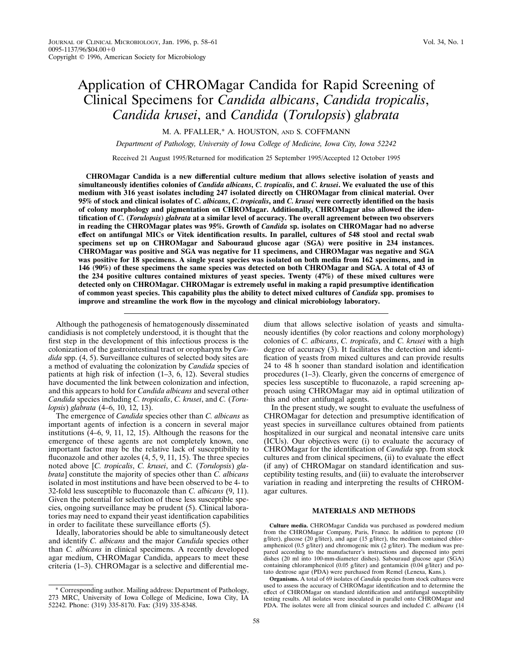# Application of CHROMagar Candida for Rapid Screening of Clinical Specimens for *Candida albicans*, *Candida tropicalis*, *Candida krusei*, and *Candida* (*Torulopsis*) *glabrata*

M. A. PFALLER,\* A. HOUSTON, AND S. COFFMANN

*Department of Pathology, University of Iowa College of Medicine, Iowa City, Iowa 52242*

Received 21 August 1995/Returned for modification 25 September 1995/Accepted 12 October 1995

**CHROMagar Candida is a new differential culture medium that allows selective isolation of yeasts and simultaneously identifies colonies of** *Candida albicans***,** *C. tropicalis***, and** *C. krusei***. We evaluated the use of this medium with 316 yeast isolates including 247 isolated directly on CHROMagar from clinical material. Over 95% of stock and clinical isolates of** *C. albicans***,** *C. tropicalis***, and** *C. krusei* **were correctly identified on the basis of colony morphology and pigmentation on CHROMagar. Additionally, CHROMagar also allowed the identification of** *C.* **(***Torulopsis***)** *glabrata* **at a similar level of accuracy. The overall agreement between two observers in reading the CHROMagar plates was 95%. Growth of** *Candida* **sp. isolates on CHROMagar had no adverse effect on antifungal MICs or Vitek identification results. In parallel, cultures of 548 stool and rectal swab specimens set up on CHROMagar and Sabouraud glucose agar (SGA) were positive in 234 instances. CHROMagar was positive and SGA was negative for 11 specimens, and CHROMagar was negative and SGA was positive for 18 specimens. A single yeast species was isolated on both media from 162 specimens, and in 146 (90%) of these specimens the same species was detected on both CHROMagar and SGA. A total of 43 of the 234 positive cultures contained mixtures of yeast species. Twenty (47%) of these mixed cultures were detected only on CHROMagar. CHROMagar is extremely useful in making a rapid presumptive identification of common yeast species. This capability plus the ability to detect mixed cultures of** *Candida* **spp. promises to improve and streamline the work flow in the mycology and clinical microbiology laboratory.**

Although the pathogenesis of hematogenously disseminated candidiasis is not completely understood, it is thought that the first step in the development of this infectious process is the colonization of the gastrointestinal tract or oropharynx by *Candida* spp. (4, 5). Surveillance cultures of selected body sites are a method of evaluating the colonization by *Candida* species of patients at high risk of infection (1–3, 6, 12). Several studies have documented the link between colonization and infection, and this appears to hold for *Candida albicans* and several other *Candida* species including *C. tropicalis*, *C. krusei*, and *C.* (*Torulopsis*) *glabrata* (4–6, 10, 12, 13).

The emergence of *Candida* species other than *C. albicans* as important agents of infection is a concern in several major institutions (4–6, 9, 11, 12, 15). Although the reasons for the emergence of these agents are not completely known, one important factor may be the relative lack of susceptibility to fluconazole and other azoles  $(4, 5, 9, 11, 15)$ . The three species noted above [*C. tropicalis*, *C. krusei*, and *C.* (*Torulopsis*) *glabrata*] constitute the majority of species other than *C. albicans* isolated in most institutions and have been observed to be 4- to 32-fold less susceptible to fluconazole than *C. albicans* (9, 11). Given the potential for selection of these less susceptible species, ongoing surveillance may be prudent (5). Clinical laboratories may need to expand their yeast identification capabilities in order to facilitate these surveillance efforts (5).

Ideally, laboratories should be able to simultaneously detect and identify *C. albicans* and the major *Candida* species other than *C. albicans* in clinical specimens. A recently developed agar medium, CHROMagar Candida, appears to meet these criteria (1–3). CHROMagar is a selective and differential me-

dium that allows selective isolation of yeasts and simultaneously identifies (by color reactions and colony morphology) colonies of *C. albicans*, *C. tropicalis*, and *C. krusei* with a high degree of accuracy (3). It facilitates the detection and identification of yeasts from mixed cultures and can provide results 24 to 48 h sooner than standard isolation and identification procedures (1–3). Clearly, given the concerns of emergence of species less susceptible to fluconazole, a rapid screening approach using CHROMagar may aid in optimal utilization of this and other antifungal agents.

In the present study, we sought to evaluate the usefulness of CHROMagar for detection and presumptive identification of yeast species in surveillance cultures obtained from patients hospitalized in our surgical and neonatal intensive care units (ICUs). Our objectives were (i) to evaluate the accuracy of CHROMagar for the identification of *Candida* spp. from stock cultures and from clinical specimens, (ii) to evaluate the effect (if any) of CHROMagar on standard identification and susceptibility testing results, and (iii) to evaluate the interobserver variation in reading and interpreting the results of CHROMagar cultures.

# **MATERIALS AND METHODS**

**Culture media.** CHROMagar Candida was purchased as powdered medium from the CHROMagar Company, Paris, France. In addition to peptone (10) g/liter), glucose (20 g/liter), and agar (15 g/liter), the medium contained chlor-amphenicol (0.5 g/liter) and chromogenic mix (2 g/liter). The medium was prepared according to the manufacturer's instructions and dispensed into petri dishes (20 ml into 100-mm-diameter dishes). Sabouraud glucose agar (SGA) containing chloramphenicol (0.05 g/liter) and gentamicin (0.04 g/liter) and potato dextrose agar (PDA) were purchased from Remel (Lenexa, Kans.).

**Organisms.** A total of 69 isolates of *Candida* species from stock cultures were used to assess the accuracy of CHROMagar identification and to determine the effect of CHROMagar on standard identification and antifungal susceptibility testing results. All isolates were inoculated in parallel onto CHROMagar and PDA. The isolates were all from clinical sources and included *C. albicans* (14

<sup>\*</sup> Corresponding author. Mailing address: Department of Pathology, 273 MRC, University of Iowa College of Medicine, Iowa City, IA 52242. Phone: (319) 335-8170. Fax: (319) 335-8348.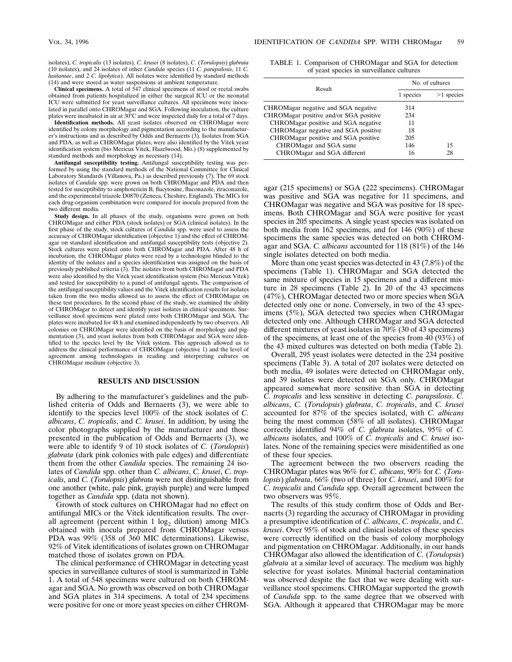isolates), *C. tropicalis* (13 isolates), *C. krusei* (8 isolates), *C.* (*Torulopsis*) *glabrata* (10 isolates), and 24 isolates of other *Candida* species (11 *C. parapsilosis*, 11 *C. lusitaniae*, and 2 *C. lipolytica*). All isolates were identified by standard methods (14) and were stored as water suspensions at ambient temperature.

**Clinical specimens.** A total of 547 clinical specimens of stool or rectal swabs obtained from patients hospitalized in either the surgical ICU or the neonatal ICU were submitted for yeast surveillance cultures. All specimens were inocu-lated in parallel onto CHROMagar and SGA. Following inoculation, the culture plates were incubated in air at  $30^{\circ}$ C and were inspected daily for a total of 7 days.

**Identification methods.** All yeast isolates observed on CHROMagar were identified by colony morphology and pigmentation according to the manufacturer's instructions and as described by Odds and Bernaerts (3). Isolates from SGA and PDA, as well as CHROMagar plates, were also identified by the Vitek yeast identification system (bio Merieux Vitek, Hazelwood, Mo.) (8) supplemented by standard methods and morphology as necessary (14).

**Antifungal susceptibility testing.** Antifungal susceptibility testing was performed by using the standard methods of the National Committee for Clinical Laboratory Standards (Villanova, Pa.) as described previously (7). The 69 stock isolates of *Candida* spp. were grown on both CHROMagar and PDA and then tested for susceptibility to amphotericin B, flucytosine, fluconazole, itraconazole, and the experimental triazole D0870 (Zeneca, Cheshire, England). The MICs for each drug-organism combination were compared for inocula prepared from the two different media.

**Study design.** In all phases of the study, organisms were grown on both CHROMagar and either PDA (stock isolates) or SGA (clinical isolates). In the first phase of the study, stock cultures of *Candida* spp. were used to assess the accuracy of CHROMagar identification (objective 1) and the effect of CHROMagar on standard identification and antifungal susceptibility tests (objective 2). Stock cultures were plated onto both CHROMagar and PDA. After 48 h of incubation, the CHROMagar plates were read by a technologist blinded to the identity of the isolates and a species identification was assigned on the basis of previously published criteria (3). The isolates from both CHROMagar and PDA were also identified by the Vitek yeast identification system (bio Merieux Vitek) and tested for susceptibility to a panel of antifungal agents. The comparison of the antifungal susceptibility values and the Vitek identification results for isolates taken from the two media allowed us to assess the effect of CHROMagar on these test procedures. In the second phase of the study, we examined the ability of CHROMagar to detect and identify yeast isolates in clinical specimens. Surveillance stool specimens were plated onto both CHROMagar and SGA. The plates were incubated for 48 h and examined independently by two observers. All colonies on CHROMagar were identified on the basis of morphology and pigmentation (3), and yeast isolates from both CHROMagar and SGA were identified to the species level by the Vitek system. This approach allowed us to address the clinical performance of CHROMagar (objective 1) and the level of agreement among technologists in reading and interpreting cultures on CHROMagar medium (objective 3).

### **RESULTS AND DISCUSSION**

By adhering to the manufacturer's guidelines and the published criteria of Odds and Bernaerts (3), we were able to identify to the species level 100% of the stock isolates of *C. albicans*, *C. tropicalis*, and *C. krusei*. In addition, by using the color photographs supplied by the manufacturer and those presented in the publication of Odds and Bernaerts (3), we were able to identify 9 of 10 stock isolates of *C.* (*Torulopsis*) *glabrata* (dark pink colonies with pale edges) and differentiate them from the other *Candida* species. The remaining 24 isolates of *Candida* spp. other than *C. albicans*, *C. krusei*, *C. tropicalis*, and *C.* (*Torulopsis*) *glabrata* were not distinguishable from one another (white, pale pink, grayish purple) and were lumped together as *Candida* spp. (data not shown).

Growth of stock cultures on CHROMagar had no effect on antifungal MICs or the Vitek identification results. The overall agreement (percent within  $1 \log_2$  dilution) among MICs obtained with inocula prepared from CHROMagar versus PDA was 99% (358 of 360 MIC determinations). Likewise, 92% of Vitek identifications of isolates grown on CHROMagar matched those of isolates grown on PDA.

The clinical performance of CHROMagar in detecting yeast species in surveillance cultures of stool is summarized in Table 1. A total of 548 specimens were cultured on both CHROMagar and SGA. No growth was observed on both CHROMagar and SGA plates in 314 specimens. A total of 234 specimens were positive for one or more yeast species on either CHROM-

TABLE 1. Comparison of CHROMagar and SGA for detection of yeast species in surveillance cultures

|                                        | No. of cultures |              |
|----------------------------------------|-----------------|--------------|
| Result                                 | 1 species       | $>1$ species |
| CHROMagar negative and SGA negative    | 314             |              |
| CHROMagar positive and/or SGA positive | 234             |              |
| CHROMagar positive and SGA negative    | 11              |              |
| CHROMagar negative and SGA positive    | 18              |              |
| CHROMagar positive and SGA positive    | 205             |              |
| CHROMagar and SGA same                 | 146             | 15           |
| CHROMagar and SGA different            | 16              | 28           |

agar (215 specimens) or SGA (222 specimens). CHROMagar was positive and SGA was negative for 11 specimens, and CHROMagar was negative and SGA was positive for 18 specimens. Both CHROMagar and SGA were positive for yeast species in 205 specimens. A single yeast species was isolated on both media from 162 specimens, and for 146 (90%) of these specimens the same species was detected on both CHROMagar and SGA. *C. albicans* accounted for 118 (81%) of the 146 single isolates detected on both media.

More than one yeast species was detected in 43 (7.8%) of the specimens (Table 1). CHROMagar and SGA detected the same mixture of species in 15 specimens and a different mixture in 28 specimens (Table 2). In 20 of the 43 specimens (47%), CHROMagar detected two or more species when SGA detected only one or none. Conversely, in two of the 43 specimens (5%), SGA detected two species when CHROMagar detected only one. Although CHROMagar and SGA detected different mixtures of yeast isolates in 70% (30 of 43 specimens) of the specimens, at least one of the species from 40 (93%) of the 43 mixed cultures was detected on both media (Table 2).

Overall, 295 yeast isolates were detected in the 234 positive specimens (Table 3). A total of 207 isolates were detected on both media, 49 isolates were detected on CHROMagar only, and 39 isolates were detected on SGA only. CHROMagar appeared somewhat more sensitive than SGA in detecting *C. tropicalis* and less sensitive in detecting *C. parapsilosis*. *C. albicans*, *C.* (*Torulopsis*) *glabrata*, *C. tropicalis*, and *C. krusei* accounted for 87% of the species isolated, with *C. albicans* being the most common (58% of all isolates). CHROMagar correctly identified 94% of *C. glabrata* isolates, 95% of *C. albicans* isolates, and 100% of *C. tropicalis* and *C. krusei* isolates. None of the remaining species were misidentified as one of these four species.

The agreement between the two observers reading the CHROMagar plates was 96% for *C. albicans*, 90% for *C.* (*Torulopsis*) *glabrata*, 66% (two of three) for *C. krusei*, and 100% for *C. tropicalis* and *Candida* spp. Overall agreement between the two observers was 95%.

The results of this study confirm those of Odds and Bernaerts (3) regarding the accuracy of CHROMagar in providing a presumptive identification of *C. albicans*, *C. tropicalis*, and *C. krusei*. Over 95% of stock and clinical isolates of these species were correctly identified on the basis of colony morphology and pigmentation on CHROMagar. Additionally, in our hands CHROMagar also allowed the identification of *C.* (*Torulopsis*) *glabrata* at a similar level of accuracy. The medium was highly selective for yeast isolates. Minimal bacterial contamination was observed despite the fact that we were dealing with surveillance stool specimens. CHROMagar supported the growth of *Candida* spp. to the same degree that we observed with SGA. Although it appeared that CHROMagar may be more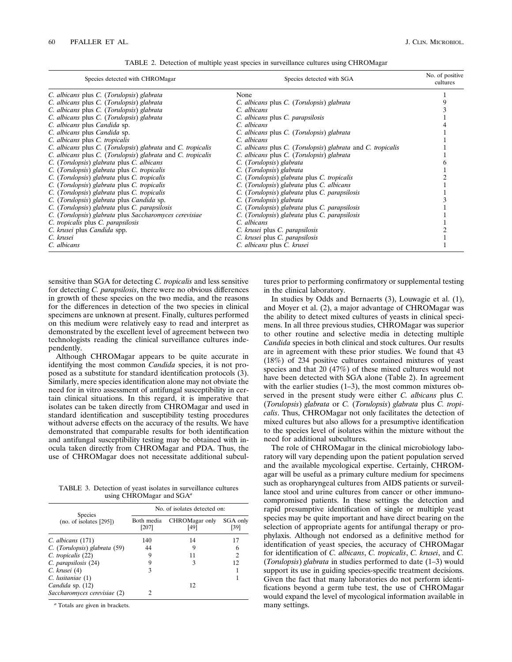TABLE 2. Detection of multiple yeast species in surveillance cultures using CHROMagar

| Species detected with CHROMagar                             | Species detected with SGA                                   | No. of positive<br>cultures |
|-------------------------------------------------------------|-------------------------------------------------------------|-----------------------------|
| C. albicans plus C. (Torulopsis) glabrata                   | None                                                        |                             |
| C. albicans plus C. (Torulopsis) glabrata                   | C. albicans plus C. (Torulopsis) glabrata                   |                             |
| C. albicans plus C. (Torulopsis) glabrata                   | C. albicans                                                 |                             |
| C. albicans plus C. (Torulopsis) glabrata                   | C. albicans plus C. parapsilosis                            |                             |
| C. albicans plus Candida sp.                                | C. albicans                                                 |                             |
| C. albicans plus Candida sp.                                | C. albicans plus C. (Torulopsis) glabrata                   |                             |
| C. albicans plus C. tropicalis                              | C. albicans                                                 |                             |
| C. albicans plus C. (Torulopsis) glabrata and C. tropicalis | C. albicans plus C. (Torulopsis) glabrata and C. tropicalis |                             |
| C. albicans plus C. (Torulopsis) glabrata and C. tropicalis | C. albicans plus C. (Torulopsis) glabrata                   |                             |
| C. (Torulopsis) glabrata plus C. albicans                   | C. (Torulopsis) glabrata                                    |                             |
| C. (Torulopsis) glabrata plus C. tropicalis                 | C. (Torulopsis) glabrata                                    |                             |
| C. (Torulopsis) glabrata plus C. tropicalis                 | C. (Torulopsis) glabrata plus C. tropicalis                 |                             |
| C. (Torulopsis) glabrata plus C. tropicalis                 | C. (Torulopsis) glabrata plus C. albicans                   |                             |
| C. (Torulopsis) glabrata plus C. tropicalis                 | C. (Torulopsis) glabrata plus C. parapsilosis               |                             |
| C. (Torulopsis) glabrata plus Candida sp.                   | C. (Torulopsis) glabrata                                    |                             |
| C. (Torulopsis) glabrata plus C. parapsilosis               | C. (Torulopsis) glabrata plus C. parapsilosis               |                             |
| C. (Torulopsis) glabrata plus Saccharomyces cerevisiae      | C. (Torulopsis) glabrata plus C. parapsilosis               |                             |
| C. tropicalis plus C. parapsilosis                          | C. albicans                                                 |                             |
| C. krusei plus Candida spp.                                 | C. krusei plus C. parapsilosis                              |                             |
| C. krusei                                                   | C. krusei plus C. parapsilosis                              |                             |
| C. albicans                                                 | C. albicans plus C. krusei                                  |                             |

sensitive than SGA for detecting *C. tropicalis* and less sensitive for detecting *C. parapsilosis*, there were no obvious differences in growth of these species on the two media, and the reasons for the differences in detection of the two species in clinical specimens are unknown at present. Finally, cultures performed on this medium were relatively easy to read and interpret as demonstrated by the excellent level of agreement between two technologists reading the clinical surveillance cultures independently.

Although CHROMagar appears to be quite accurate in identifying the most common *Candida* species, it is not proposed as a substitute for standard identification protocols (3). Similarly, mere species identification alone may not obviate the need for in vitro assessment of antifungal susceptibility in certain clinical situations. In this regard, it is imperative that isolates can be taken directly from CHROMagar and used in standard identification and susceptibility testing procedures without adverse effects on the accuracy of the results. We have demonstrated that comparable results for both identification and antifungal susceptibility testing may be obtained with inocula taken directly from CHROMagar and PDA. Thus, the use of CHROMagar does not necessitate additional subcul-

TABLE 3. Detection of yeast isolates in surveillance cultures using CHROMagar and SGA*<sup>a</sup>*

| <b>Species</b><br>(no. of isolates [295]) | No. of isolates detected on: |                        |                  |  |
|-------------------------------------------|------------------------------|------------------------|------------------|--|
|                                           | Both media<br>[207]          | CHROMagar only<br>[49] | SGA only<br>[39] |  |
| $C.$ albicans $(171)$                     | 140                          | 14                     |                  |  |
| C. (Torulopsis) glabrata (59)             | 44                           |                        | h                |  |
| C. tropicalis (22)                        |                              |                        | 2                |  |
| C. parapsilosis (24)                      |                              |                        | 12.              |  |
| $C.$ krusei $(4)$                         | 3                            |                        |                  |  |
| $C.$ lusitaniae $(1)$                     |                              |                        |                  |  |
| Candida sp. (12)                          |                              | 12                     |                  |  |
| Saccharomyces cerevisiae (2)              |                              |                        |                  |  |

*<sup>a</sup>* Totals are given in brackets.

tures prior to performing confirmatory or supplemental testing in the clinical laboratory.

In studies by Odds and Bernaerts (3), Louwagie et al. (1), and Moyer et al. (2), a major advantage of CHROMagar was the ability to detect mixed cultures of yeasts in clinical specimens. In all three previous studies, CHROMagar was superior to other routine and selective media in detecting multiple *Candida* species in both clinical and stock cultures. Our results are in agreement with these prior studies. We found that 43 (18%) of 234 positive cultures contained mixtures of yeast species and that 20 (47%) of these mixed cultures would not have been detected with SGA alone (Table 2). In agreement with the earlier studies (1–3), the most common mixtures observed in the present study were either *C. albicans* plus *C.* (*Torulopsis*) *glabrata* or *C.* (*Torulopsis*) *glabrata* plus *C. tropicalis*. Thus, CHROMagar not only facilitates the detection of mixed cultures but also allows for a presumptive identification to the species level of isolates within the mixture without the need for additional subcultures.

The role of CHROMagar in the clinical microbiology laboratory will vary depending upon the patient population served and the available mycological expertise. Certainly, CHROMagar will be useful as a primary culture medium for specimens such as oropharyngeal cultures from AIDS patients or surveillance stool and urine cultures from cancer or other immunocompromised patients. In these settings the detection and rapid presumptive identification of single or multiple yeast species may be quite important and have direct bearing on the selection of appropriate agents for antifungal therapy or prophylaxis. Although not endorsed as a definitive method for identification of yeast species, the accuracy of CHROMagar for identification of *C. albicans*, *C. tropicalis*, *C. krusei*, and *C.* (*Torulopsis*) *glabrata* in studies performed to date (1–3) would support its use in guiding species-specific treatment decisions. Given the fact that many laboratories do not perform identifications beyond a germ tube test, the use of CHROMagar would expand the level of mycological information available in many settings.